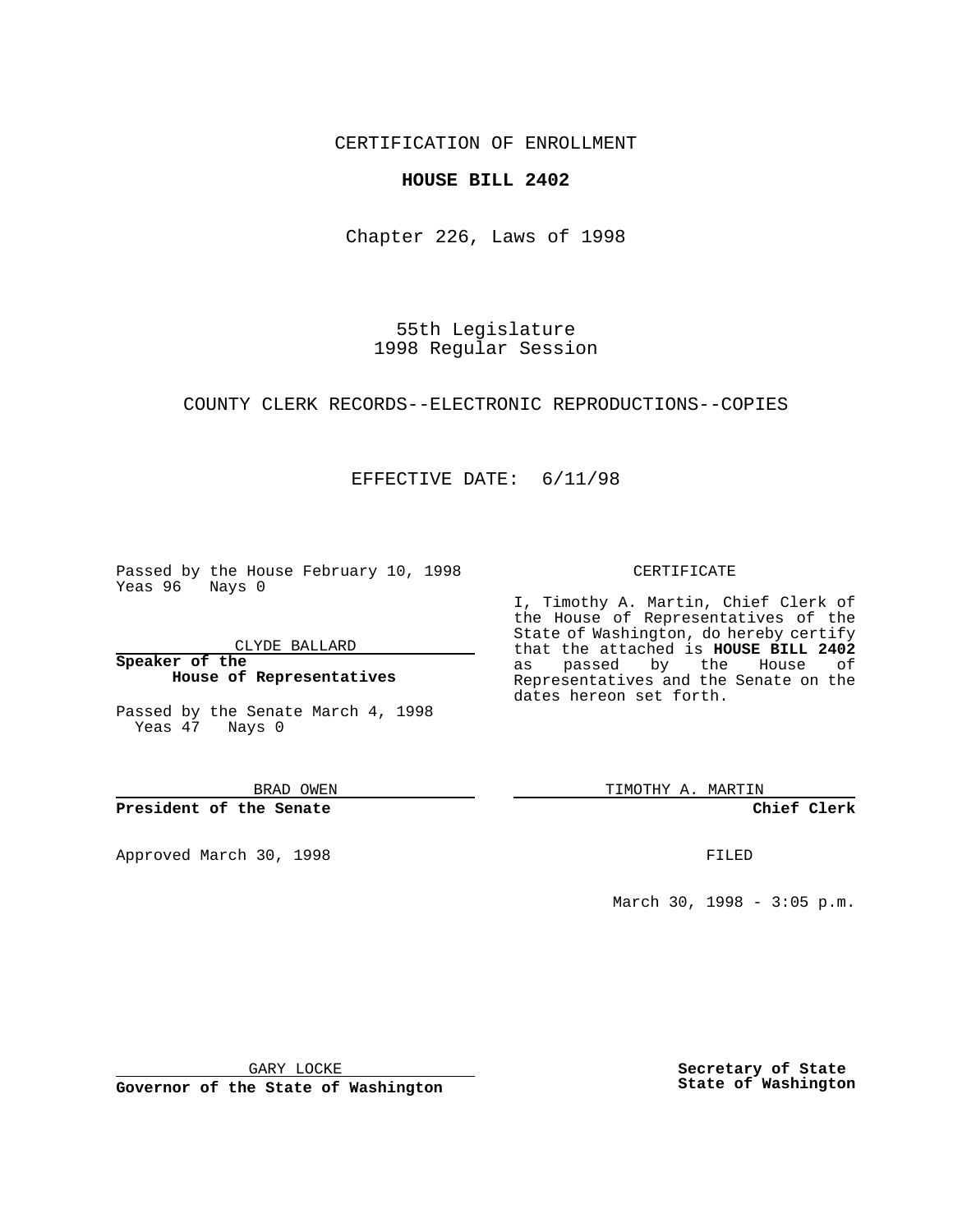CERTIFICATION OF ENROLLMENT

### **HOUSE BILL 2402**

Chapter 226, Laws of 1998

55th Legislature 1998 Regular Session

COUNTY CLERK RECORDS--ELECTRONIC REPRODUCTIONS--COPIES

## EFFECTIVE DATE: 6/11/98

Passed by the House February 10, 1998 Yeas 96 Nays 0

CLYDE BALLARD

**Speaker of the House of Representatives**

Passed by the Senate March 4, 1998 Yeas 47 Nays 0

BRAD OWEN

**President of the Senate**

Approved March 30, 1998 **FILED** 

#### CERTIFICATE

I, Timothy A. Martin, Chief Clerk of the House of Representatives of the State of Washington, do hereby certify that the attached is **HOUSE BILL 2402** as passed by the House of Representatives and the Senate on the dates hereon set forth.

TIMOTHY A. MARTIN

**Chief Clerk**

March 30, 1998 - 3:05 p.m.

GARY LOCKE

**Governor of the State of Washington**

**Secretary of State State of Washington**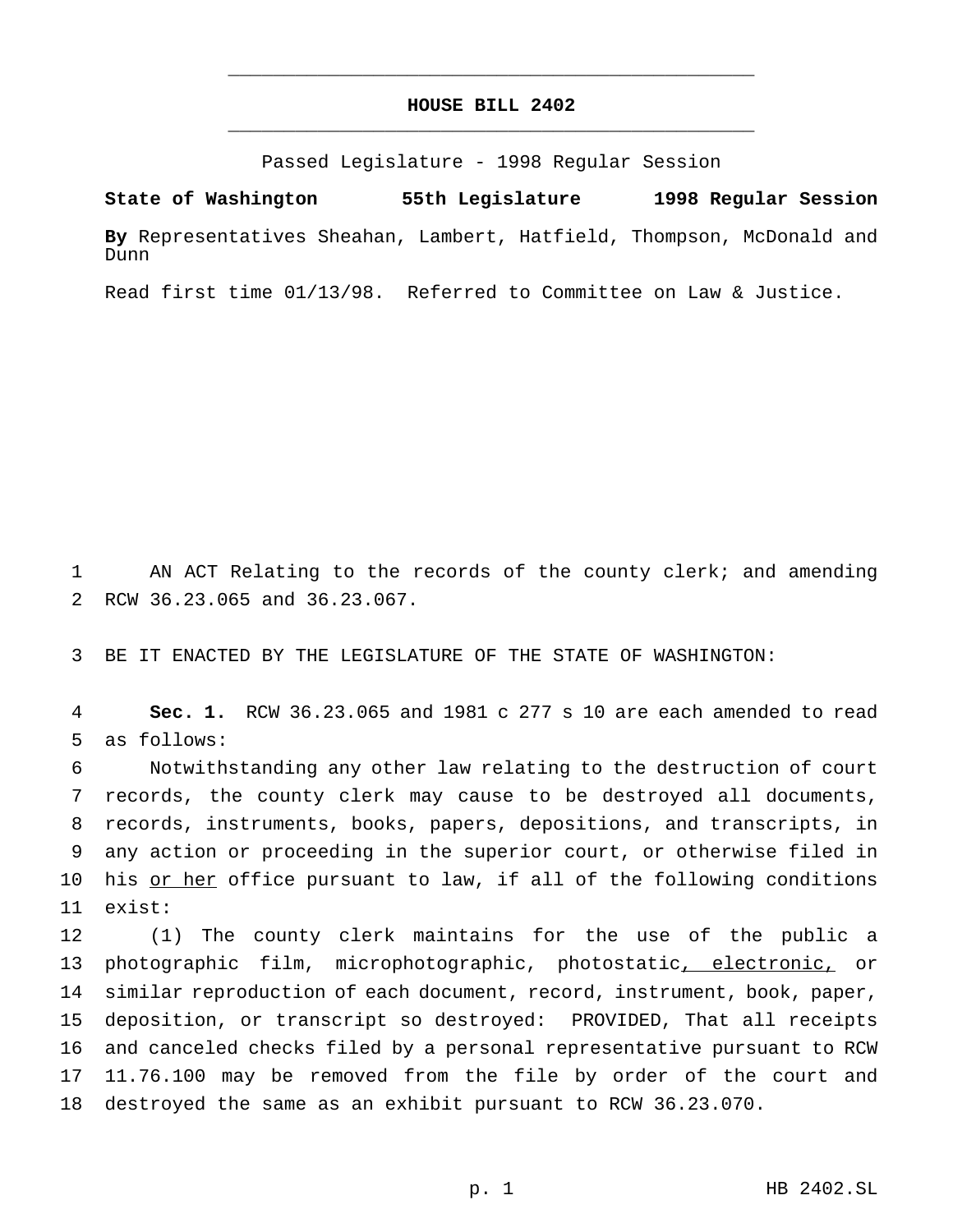## **HOUSE BILL 2402** \_\_\_\_\_\_\_\_\_\_\_\_\_\_\_\_\_\_\_\_\_\_\_\_\_\_\_\_\_\_\_\_\_\_\_\_\_\_\_\_\_\_\_\_\_\_\_

\_\_\_\_\_\_\_\_\_\_\_\_\_\_\_\_\_\_\_\_\_\_\_\_\_\_\_\_\_\_\_\_\_\_\_\_\_\_\_\_\_\_\_\_\_\_\_

Passed Legislature - 1998 Regular Session

**State of Washington 55th Legislature 1998 Regular Session**

**By** Representatives Sheahan, Lambert, Hatfield, Thompson, McDonald and Dunn

Read first time 01/13/98. Referred to Committee on Law & Justice.

1 AN ACT Relating to the records of the county clerk; and amending 2 RCW 36.23.065 and 36.23.067.

3 BE IT ENACTED BY THE LEGISLATURE OF THE STATE OF WASHINGTON:

4 **Sec. 1.** RCW 36.23.065 and 1981 c 277 s 10 are each amended to read 5 as follows:

 Notwithstanding any other law relating to the destruction of court records, the county clerk may cause to be destroyed all documents, records, instruments, books, papers, depositions, and transcripts, in any action or proceeding in the superior court, or otherwise filed in 10 his or her office pursuant to law, if all of the following conditions 11 exist:

 (1) The county clerk maintains for the use of the public a 13 photographic film, microphotographic, photostatic<u>, electronic,</u> or similar reproduction of each document, record, instrument, book, paper, deposition, or transcript so destroyed: PROVIDED, That all receipts and canceled checks filed by a personal representative pursuant to RCW 11.76.100 may be removed from the file by order of the court and destroyed the same as an exhibit pursuant to RCW 36.23.070.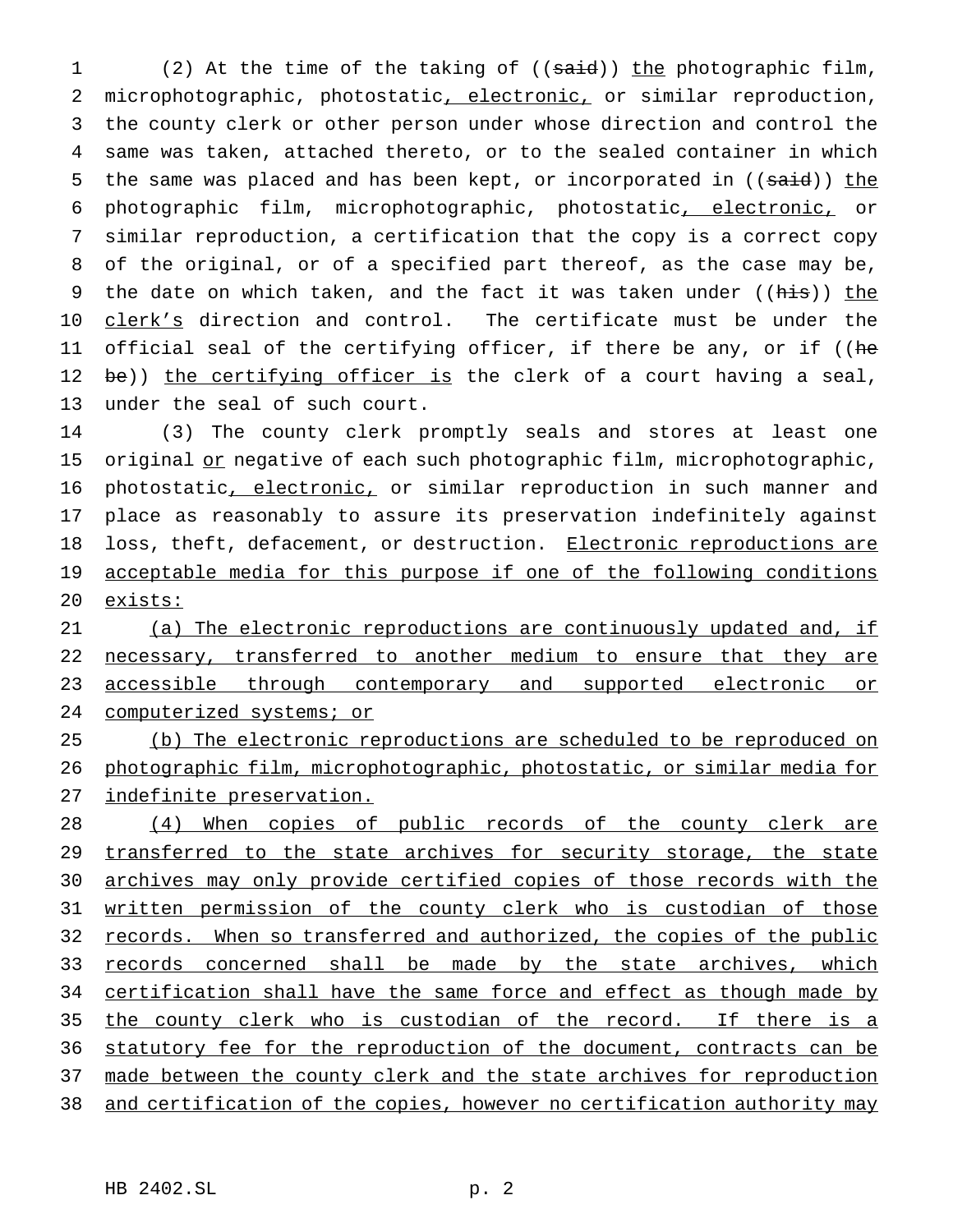1 (2) At the time of the taking of ((said)) the photographic film, 2 microphotographic, photostatic, electronic, or similar reproduction, 3 the county clerk or other person under whose direction and control the 4 same was taken, attached thereto, or to the sealed container in which 5 the same was placed and has been kept, or incorporated in ((said)) the 6 photographic film, microphotographic, photostatic, electronic, or 7 similar reproduction, a certification that the copy is a correct copy 8 of the original, or of a specified part thereof, as the case may be, 9 the date on which taken, and the fact it was taken under ((his)) the 10 clerk's direction and control. The certificate must be under the 11 official seal of the certifying officer, if there be any, or if ((he 12 be)) the certifying officer is the clerk of a court having a seal, 13 under the seal of such court.

14 (3) The county clerk promptly seals and stores at least one 15 original or negative of each such photographic film, microphotographic, 16 photostatic, electronic, or similar reproduction in such manner and 17 place as reasonably to assure its preservation indefinitely against 18 loss, theft, defacement, or destruction. Electronic reproductions are 19 acceptable media for this purpose if one of the following conditions 20 exists:

21 (a) The electronic reproductions are continuously updated and, if 22 necessary, transferred to another medium to ensure that they are 23 accessible through contemporary and supported electronic or 24 computerized systems; or

25 (b) The electronic reproductions are scheduled to be reproduced on 26 photographic film, microphotographic, photostatic, or similar media for 27 indefinite preservation.

28 (4) When copies of public records of the county clerk are 29 transferred to the state archives for security storage, the state 30 archives may only provide certified copies of those records with the 31 written permission of the county clerk who is custodian of those 32 records. When so transferred and authorized, the copies of the public 33 records concerned shall be made by the state archives, which 34 certification shall have the same force and effect as though made by 35 the county clerk who is custodian of the record. If there is a 36 statutory fee for the reproduction of the document, contracts can be 37 made between the county clerk and the state archives for reproduction 38 and certification of the copies, however no certification authority may